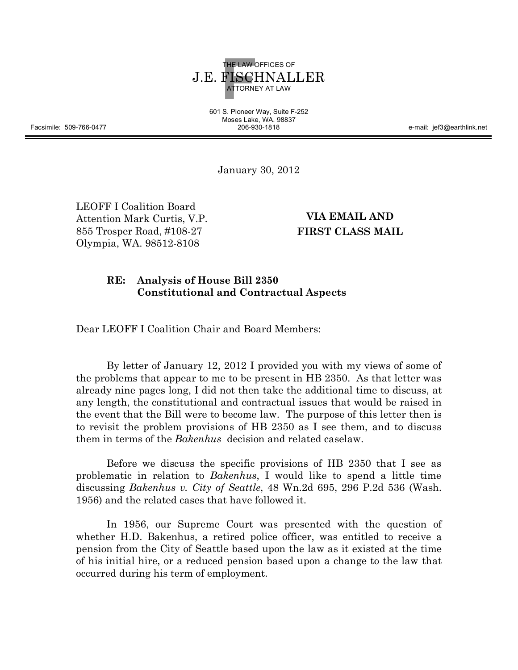

601 S. Pioneer Way, Suite F-252 Moses Lake, WA. 98837

206-930-1818 e-mail: jef3@earthlink.net

January 30, 2012

LEOFF I Coalition Board Attention Mark Curtis, V.P. 855 Trosper Road, #108-27 Olympia, WA. 98512-8108

**VIA EMAIL AND FIRST CLASS MAIL**

# **RE: Analysis of House Bill 2350 Constitutional and Contractual Aspects**

Dear LEOFF I Coalition Chair and Board Members:

By letter of January 12, 2012 I provided you with my views of some of the problems that appear to me to be present in HB 2350. As that letter was already nine pages long, I did not then take the additional time to discuss, at any length, the constitutional and contractual issues that would be raised in the event that the Bill were to become law. The purpose of this letter then is to revisit the problem provisions of HB 2350 as I see them, and to discuss them in terms of the *Bakenhus* decision and related caselaw.

Before we discuss the specific provisions of HB 2350 that I see as problematic in relation to *Bakenhus*, I would like to spend a little time discussing *Bakenhus v. City of Seattle*, 48 Wn.2d 695, 296 P.2d 536 (Wash. 1956) and the related cases that have followed it.

In 1956, our Supreme Court was presented with the question of whether H.D. Bakenhus, a retired police officer, was entitled to receive a pension from the City of Seattle based upon the law as it existed at the time of his initial hire, or a reduced pension based upon a change to the law that occurred during his term of employment.

Facsimile: 509-766-0477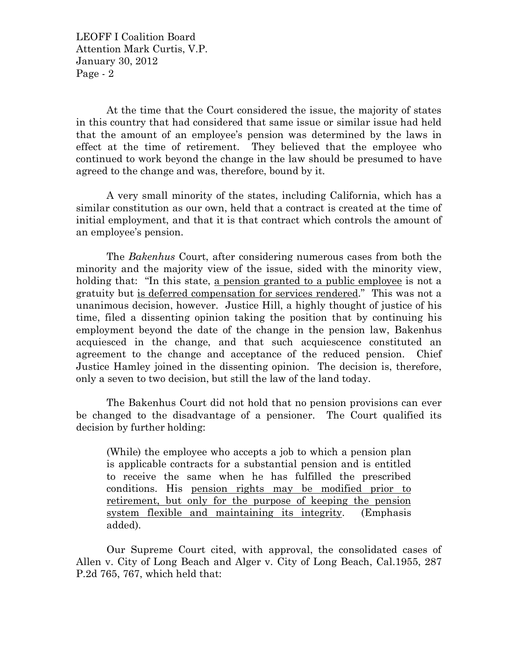At the time that the Court considered the issue, the majority of states in this country that had considered that same issue or similar issue had held that the amount of an employee's pension was determined by the laws in effect at the time of retirement. They believed that the employee who continued to work beyond the change in the law should be presumed to have agreed to the change and was, therefore, bound by it.

A very small minority of the states, including California, which has a similar constitution as our own, held that a contract is created at the time of initial employment, and that it is that contract which controls the amount of an employee's pension.

The *Bakenhus* Court, after considering numerous cases from both the minority and the majority view of the issue, sided with the minority view, holding that: "In this state, a pension granted to a public employee is not a gratuity but is deferred compensation for services rendered." This was not a unanimous decision, however. Justice Hill, a highly thought of justice of his time, filed a dissenting opinion taking the position that by continuing his employment beyond the date of the change in the pension law, Bakenhus acquiesced in the change, and that such acquiescence constituted an agreement to the change and acceptance of the reduced pension. Chief Justice Hamley joined in the dissenting opinion. The decision is, therefore, only a seven to two decision, but still the law of the land today.

The Bakenhus Court did not hold that no pension provisions can ever be changed to the disadvantage of a pensioner. The Court qualified its decision by further holding:

(While) the employee who accepts a job to which a pension plan is applicable contracts for a substantial pension and is entitled to receive the same when he has fulfilled the prescribed conditions. His pension rights may be modified prior to retirement, but only for the purpose of keeping the pension system flexible and maintaining its integrity. (Emphasis added).

Our Supreme Court cited, with approval, the consolidated cases of Allen v. City of Long Beach and Alger v. City of Long Beach, Cal.1955, 287 P.2d 765, 767, which held that: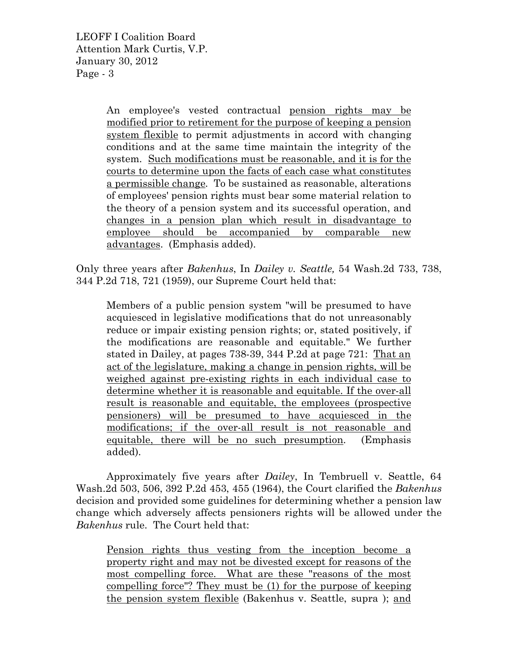> An employee's vested contractual pension rights may be modified prior to retirement for the purpose of keeping a pension system flexible to permit adjustments in accord with changing conditions and at the same time maintain the integrity of the system. Such modifications must be reasonable, and it is for the courts to determine upon the facts of each case what constitutes a permissible change. To be sustained as reasonable, alterations of employees' pension rights must bear some material relation to the theory of a pension system and its successful operation, and changes in a pension plan which result in disadvantage to employee should be accompanied by comparable new advantages. (Emphasis added).

Only three years after *Bakenhus*, In *Dailey v. Seattle,* 54 Wash.2d 733, 738, 344 P.2d 718, 721 (1959), our Supreme Court held that:

Members of a public pension system "will be presumed to have acquiesced in legislative modifications that do not unreasonably reduce or impair existing pension rights; or, stated positively, if the modifications are reasonable and equitable." We further stated in Dailey, at pages 738-39, 344 P.2d at page 721: That an act of the legislature, making a change in pension rights, will be weighed against pre-existing rights in each individual case to determine whether it is reasonable and equitable. If the over-all result is reasonable and equitable, the employees (prospective pensioners) will be presumed to have acquiesced in the modifications; if the over-all result is not reasonable and equitable, there will be no such presumption. (Emphasis added).

Approximately five years after *Dailey*, In Tembruell v. Seattle, 64 Wash.2d 503, 506, 392 P.2d 453, 455 (1964), the Court clarified the *Bakenhus* decision and provided some guidelines for determining whether a pension law change which adversely affects pensioners rights will be allowed under the *Bakenhus* rule. The Court held that:

Pension rights thus vesting from the inception become a property right and may not be divested except for reasons of the most compelling force. What are these "reasons of the most compelling force"? They must be (1) for the purpose of keeping the pension system flexible (Bakenhus v. Seattle, supra ); and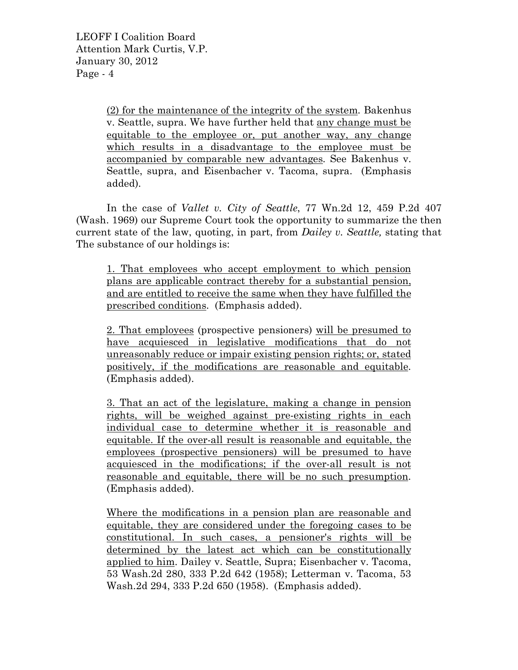(2) for the maintenance of the integrity of the system. Bakenhus v. Seattle, supra. We have further held that any change must be equitable to the employee or, put another way, any change which results in a disadvantage to the employee must be accompanied by comparable new advantages. See Bakenhus v. Seattle, supra, and Eisenbacher v. Tacoma, supra. (Emphasis added).

In the case of *Vallet v. City of Seattle*, 77 Wn.2d 12, 459 P.2d 407 (Wash. 1969) our Supreme Court took the opportunity to summarize the then current state of the law, quoting, in part, from *Dailey v. Seattle,* stating that The substance of our holdings is:

1. That employees who accept employment to which pension plans are applicable contract thereby for a substantial pension, and are entitled to receive the same when they have fulfilled the prescribed conditions. (Emphasis added).

2. That employees (prospective pensioners) will be presumed to have acquiesced in legislative modifications that do not unreasonably reduce or impair existing pension rights; or, stated positively, if the modifications are reasonable and equitable. (Emphasis added).

3. That an act of the legislature, making a change in pension rights, will be weighed against pre-existing rights in each individual case to determine whether it is reasonable and equitable. If the over-all result is reasonable and equitable, the employees (prospective pensioners) will be presumed to have acquiesced in the modifications; if the over-all result is not reasonable and equitable, there will be no such presumption. (Emphasis added).

Where the modifications in a pension plan are reasonable and equitable, they are considered under the foregoing cases to be constitutional. In such cases, a pensioner's rights will be determined by the latest act which can be constitutionally applied to him. Dailey v. Seattle, Supra; Eisenbacher v. Tacoma, 53 Wash.2d 280, 333 P.2d 642 (1958); Letterman v. Tacoma, 53 Wash.2d 294, 333 P.2d 650 (1958). (Emphasis added).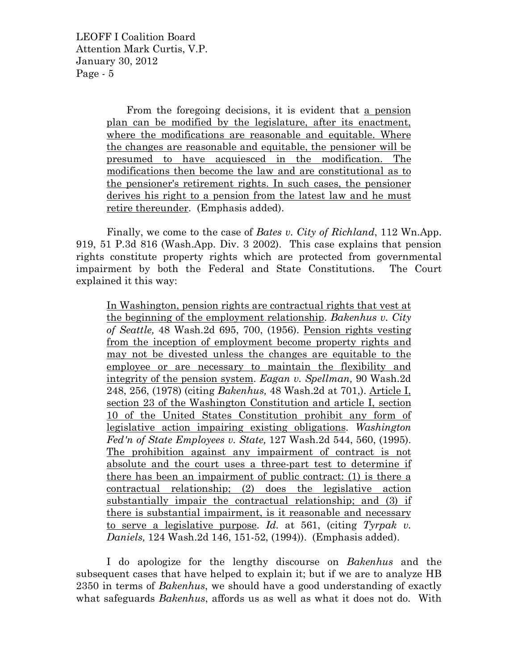> From the foregoing decisions, it is evident that a pension plan can be modified by the legislature, after its enactment, where the modifications are reasonable and equitable. Where the changes are reasonable and equitable, the pensioner will be presumed to have acquiesced in the modification. The modifications then become the law and are constitutional as to the pensioner's retirement rights. In such cases, the pensioner derives his right to a pension from the latest law and he must retire thereunder. (Emphasis added).

Finally, we come to the case of *Bates v. City of Richland*, 112 Wn.App. 919, 51 P.3d 816 (Wash.App. Div. 3 2002). This case explains that pension rights constitute property rights which are protected from governmental impairment by both the Federal and State Constitutions. The Court explained it this way:

In Washington, pension rights are contractual rights that vest at the beginning of the employment relationship. *Bakenhus v. City of Seattle,* 48 Wash.2d 695, 700, (1956). Pension rights vesting from the inception of employment become property rights and may not be divested unless the changes are equitable to the employee or are necessary to maintain the flexibility and integrity of the pension system. *Eagan v. Spellman,* 90 Wash.2d 248, 256, (1978) (citing *Bakenhus,* 48 Wash.2d at 701,). Article I, section 23 of the Washington Constitution and article I, section 10 of the United States Constitution prohibit any form of legislative action impairing existing obligations. *Washington Fed'n of State Employees v. State,* 127 Wash.2d 544, 560, (1995). The prohibition against any impairment of contract is not absolute and the court uses a three-part test to determine if there has been an impairment of public contract: (1) is there a contractual relationship; (2) does the legislative action substantially impair the contractual relationship; and (3) if there is substantial impairment, is it reasonable and necessary to serve a legislative purpose. *Id.* at 561, (citing *Tyrpak v. Daniels,* 124 Wash.2d 146, 151-52, (1994)). (Emphasis added).

I do apologize for the lengthy discourse on *Bakenhus* and the subsequent cases that have helped to explain it; but if we are to analyze HB 2350 in terms of *Bakenhus*, we should have a good understanding of exactly what safeguards *Bakenhus*, affords us as well as what it does not do. With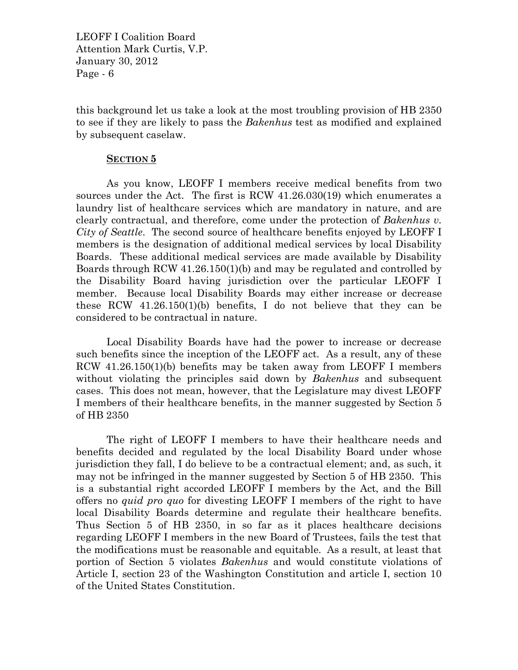this background let us take a look at the most troubling provision of HB 2350 to see if they are likely to pass the *Bakenhus* test as modified and explained by subsequent caselaw.

## **SECTION 5**

As you know, LEOFF I members receive medical benefits from two sources under the Act. The first is RCW 41.26.030(19) which enumerates a laundry list of healthcare services which are mandatory in nature, and are clearly contractual, and therefore, come under the protection of *Bakenhus v. City of Seattle*. The second source of healthcare benefits enjoyed by LEOFF I members is the designation of additional medical services by local Disability Boards. These additional medical services are made available by Disability Boards through RCW 41.26.150(1)(b) and may be regulated and controlled by the Disability Board having jurisdiction over the particular LEOFF I member. Because local Disability Boards may either increase or decrease these RCW  $41.26.150(1)(b)$  benefits, I do not believe that they can be considered to be contractual in nature.

Local Disability Boards have had the power to increase or decrease such benefits since the inception of the LEOFF act. As a result, any of these RCW 41.26.150(1)(b) benefits may be taken away from LEOFF I members without violating the principles said down by *Bakenhus* and subsequent cases. This does not mean, however, that the Legislature may divest LEOFF I members of their healthcare benefits, in the manner suggested by Section 5 of HB 2350

The right of LEOFF I members to have their healthcare needs and benefits decided and regulated by the local Disability Board under whose jurisdiction they fall, I do believe to be a contractual element; and, as such, it may not be infringed in the manner suggested by Section 5 of HB 2350. This is a substantial right accorded LEOFF I members by the Act, and the Bill offers no *quid pro quo* for divesting LEOFF I members of the right to have local Disability Boards determine and regulate their healthcare benefits. Thus Section 5 of HB 2350, in so far as it places healthcare decisions regarding LEOFF I members in the new Board of Trustees, fails the test that the modifications must be reasonable and equitable. As a result, at least that portion of Section 5 violates *Bakenhus* and would constitute violations of Article I, section 23 of the Washington Constitution and article I, section 10 of the United States Constitution.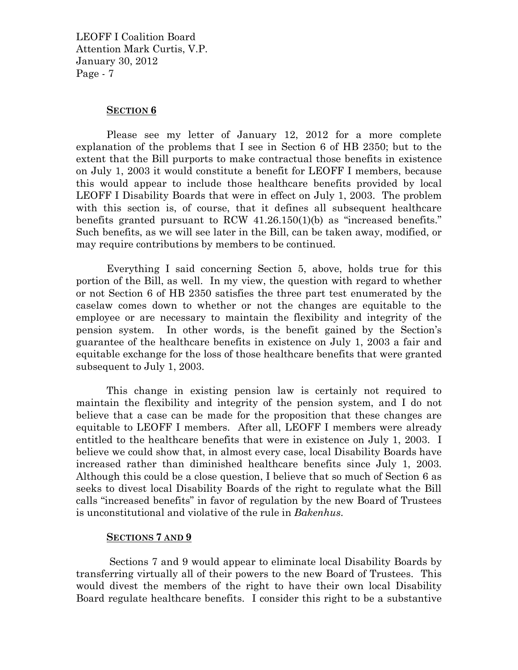#### **SECTION 6**

Please see my letter of January 12, 2012 for a more complete explanation of the problems that I see in Section 6 of HB 2350; but to the extent that the Bill purports to make contractual those benefits in existence on July 1, 2003 it would constitute a benefit for LEOFF I members, because this would appear to include those healthcare benefits provided by local LEOFF I Disability Boards that were in effect on July 1, 2003. The problem with this section is, of course, that it defines all subsequent healthcare benefits granted pursuant to RCW 41.26.150(1)(b) as "increased benefits." Such benefits, as we will see later in the Bill, can be taken away, modified, or may require contributions by members to be continued.

Everything I said concerning Section 5, above, holds true for this portion of the Bill, as well. In my view, the question with regard to whether or not Section 6 of HB 2350 satisfies the three part test enumerated by the caselaw comes down to whether or not the changes are equitable to the employee or are necessary to maintain the flexibility and integrity of the pension system. In other words, is the benefit gained by the Section's guarantee of the healthcare benefits in existence on July 1, 2003 a fair and equitable exchange for the loss of those healthcare benefits that were granted subsequent to July 1, 2003.

This change in existing pension law is certainly not required to maintain the flexibility and integrity of the pension system, and I do not believe that a case can be made for the proposition that these changes are equitable to LEOFF I members. After all, LEOFF I members were already entitled to the healthcare benefits that were in existence on July 1, 2003. I believe we could show that, in almost every case, local Disability Boards have increased rather than diminished healthcare benefits since July 1, 2003. Although this could be a close question, I believe that so much of Section 6 as seeks to divest local Disability Boards of the right to regulate what the Bill calls "increased benefits" in favor of regulation by the new Board of Trustees is unconstitutional and violative of the rule in *Bakenhus*.

## **SECTIONS 7 AND 9**

Sections 7 and 9 would appear to eliminate local Disability Boards by transferring virtually all of their powers to the new Board of Trustees. This would divest the members of the right to have their own local Disability Board regulate healthcare benefits. I consider this right to be a substantive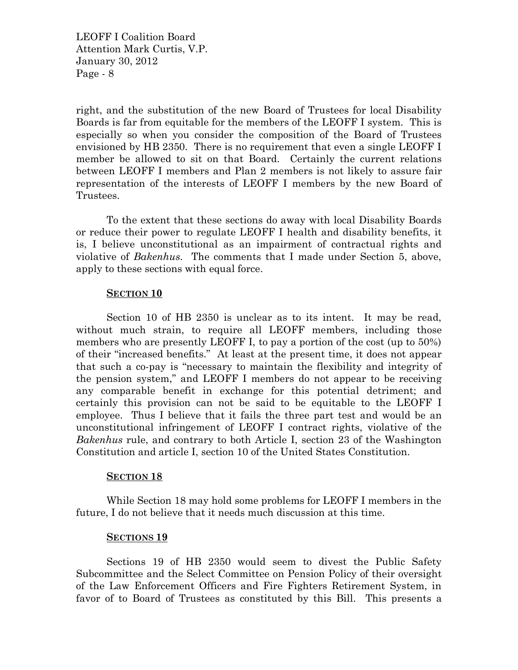right, and the substitution of the new Board of Trustees for local Disability Boards is far from equitable for the members of the LEOFF I system. This is especially so when you consider the composition of the Board of Trustees envisioned by HB 2350. There is no requirement that even a single LEOFF I member be allowed to sit on that Board. Certainly the current relations between LEOFF I members and Plan 2 members is not likely to assure fair representation of the interests of LEOFF I members by the new Board of Trustees.

To the extent that these sections do away with local Disability Boards or reduce their power to regulate LEOFF I health and disability benefits, it is, I believe unconstitutional as an impairment of contractual rights and violative of *Bakenhus*. The comments that I made under Section 5, above, apply to these sections with equal force.

## **SECTION 10**

Section 10 of HB 2350 is unclear as to its intent. It may be read, without much strain, to require all LEOFF members, including those members who are presently LEOFF I, to pay a portion of the cost (up to 50%) of their "increased benefits." At least at the present time, it does not appear that such a co-pay is "necessary to maintain the flexibility and integrity of the pension system," and LEOFF I members do not appear to be receiving any comparable benefit in exchange for this potential detriment; and certainly this provision can not be said to be equitable to the LEOFF I employee. Thus I believe that it fails the three part test and would be an unconstitutional infringement of LEOFF I contract rights, violative of the *Bakenhus* rule, and contrary to both Article I, section 23 of the Washington Constitution and article I, section 10 of the United States Constitution.

## **SECTION 18**

While Section 18 may hold some problems for LEOFF I members in the future, I do not believe that it needs much discussion at this time.

## **SECTIONS 19**

Sections 19 of HB 2350 would seem to divest the Public Safety Subcommittee and the Select Committee on Pension Policy of their oversight of the Law Enforcement Officers and Fire Fighters Retirement System, in favor of to Board of Trustees as constituted by this Bill. This presents a